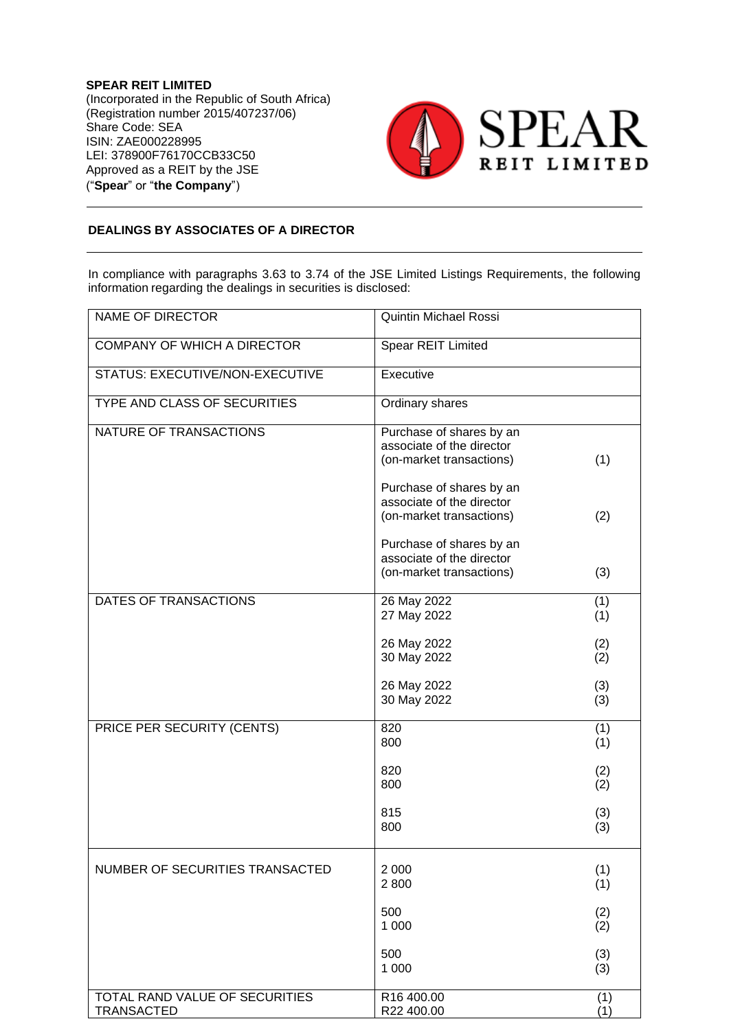**SPEAR REIT LIMITED** (Incorporated in the Republic of South Africa) (Registration number 2015/407237/06) Share Code: SEA ISIN: ZAE000228995 LEI: 378900F76170CCB33C50 Approved as a REIT by the JSE ("**Spear**" or "**the Company**")



## **DEALINGS BY ASSOCIATES OF A DIRECTOR**

In compliance with paragraphs 3.63 to 3.74 of the JSE Limited Listings Requirements, the following information regarding the dealings in securities is disclosed:

| <b>NAME OF DIRECTOR</b>                             | <b>Quintin Michael Rossi</b>                                                      |            |
|-----------------------------------------------------|-----------------------------------------------------------------------------------|------------|
| <b>COMPANY OF WHICH A DIRECTOR</b>                  | Spear REIT Limited                                                                |            |
| STATUS: EXECUTIVE/NON-EXECUTIVE                     | Executive                                                                         |            |
| <b>TYPE AND CLASS OF SECURITIES</b>                 | Ordinary shares                                                                   |            |
| NATURE OF TRANSACTIONS                              | Purchase of shares by an<br>associate of the director<br>(on-market transactions) | (1)        |
|                                                     | Purchase of shares by an<br>associate of the director<br>(on-market transactions) | (2)        |
|                                                     | Purchase of shares by an<br>associate of the director<br>(on-market transactions) | (3)        |
| DATES OF TRANSACTIONS                               | 26 May 2022<br>27 May 2022                                                        | (1)<br>(1) |
|                                                     | 26 May 2022<br>30 May 2022                                                        | (2)<br>(2) |
|                                                     | 26 May 2022<br>30 May 2022                                                        | (3)<br>(3) |
| PRICE PER SECURITY (CENTS)                          | 820<br>800                                                                        | (1)<br>(1) |
|                                                     | 820<br>800                                                                        | (2)<br>(2) |
|                                                     | 815<br>800                                                                        | (3)<br>(3) |
| NUMBER OF SECURITIES TRANSACTED                     | 2 0 0 0<br>2800                                                                   | (1)<br>(1) |
|                                                     | 500<br>1 0 0 0                                                                    | (2)<br>(2) |
|                                                     | 500<br>1 0 0 0                                                                    | (3)<br>(3) |
| TOTAL RAND VALUE OF SECURITIES<br><b>TRANSACTED</b> | R16 400.00<br>R22 400.00                                                          | (1)<br>(1) |